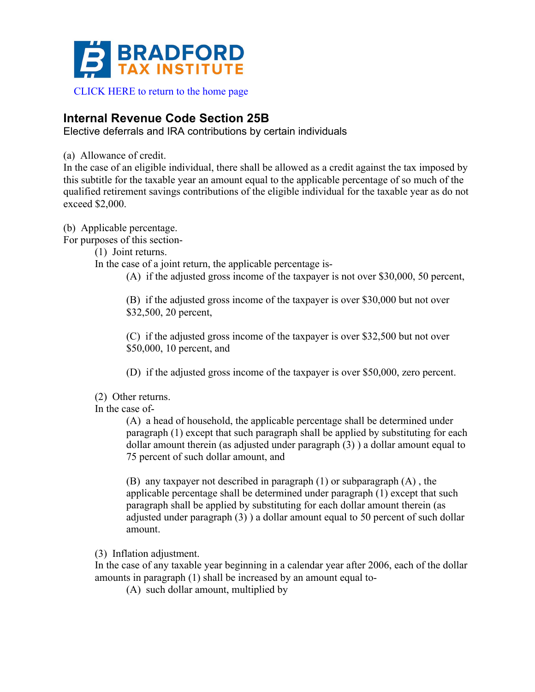

## **Internal Revenue Code Section 25B**

Elective deferrals and IRA contributions by certain individuals

(a) Allowance of credit.

In the case of an eligible individual, there shall be allowed as a credit against the tax imposed by this subtitle for the taxable year an amount equal to the applicable percentage of so much of the qualified retirement savings contributions of the eligible individual for the taxable year as do not exceed \$2,000.

(b) Applicable percentage.

For purposes of this section-

(1) Joint returns.

In the case of a joint return, the applicable percentage is-

(A) if the adjusted gross income of the taxpayer is not over \$30,000, 50 percent,

(B) if the adjusted gross income of the taxpayer is over \$30,000 but not over \$32,500, 20 percent,

(C) if the adjusted gross income of the taxpayer is over \$32,500 but not over \$50,000, 10 percent, and

(D) if the adjusted gross income of the taxpayer is over \$50,000, zero percent.

(2) Other returns.

In the case of-

(A) a head of household, the applicable percentage shall be determined under paragraph (1) except that such paragraph shall be applied by substituting for each dollar amount therein (as adjusted under paragraph (3) ) a dollar amount equal to 75 percent of such dollar amount, and

(B) any taxpayer not described in paragraph (1) or subparagraph (A) , the applicable percentage shall be determined under paragraph (1) except that such paragraph shall be applied by substituting for each dollar amount therein (as adjusted under paragraph (3) ) a dollar amount equal to 50 percent of such dollar amount.

(3) Inflation adjustment.

In the case of any taxable year beginning in a calendar year after 2006, each of the dollar amounts in paragraph (1) shall be increased by an amount equal to-

(A) such dollar amount, multiplied by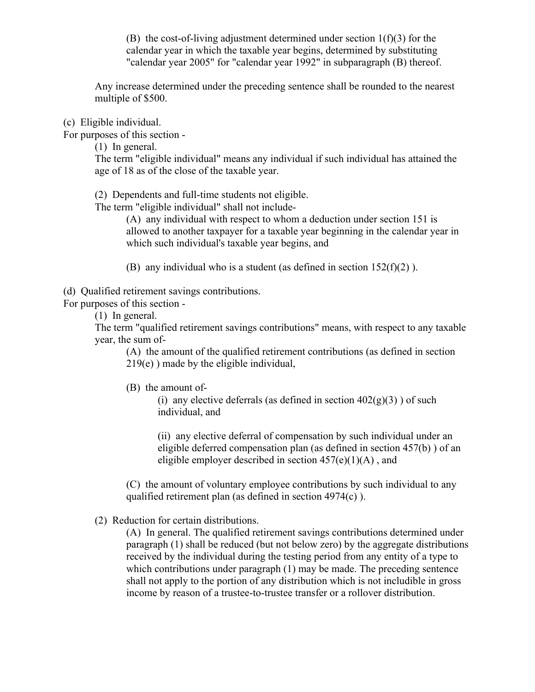(B) the cost-of-living adjustment determined under section  $1(f)(3)$  for the calendar year in which the taxable year begins, determined by substituting "calendar year 2005" for "calendar year 1992" in subparagraph (B) thereof.

Any increase determined under the preceding sentence shall be rounded to the nearest multiple of \$500.

(c) Eligible individual.

For purposes of this section -

(1) In general.

The term "eligible individual" means any individual if such individual has attained the age of 18 as of the close of the taxable year.

(2) Dependents and full-time students not eligible.

The term "eligible individual" shall not include-

(A) any individual with respect to whom a deduction under section 151 is allowed to another taxpayer for a taxable year beginning in the calendar year in which such individual's taxable year begins, and

(B) any individual who is a student (as defined in section  $152(f)(2)$ ).

(d) Qualified retirement savings contributions.

For purposes of this section -

(1) In general.

The term "qualified retirement savings contributions" means, with respect to any taxable year, the sum of-

(A) the amount of the qualified retirement contributions (as defined in section 219(e) ) made by the eligible individual,

(B) the amount of-

(i) any elective deferrals (as defined in section  $402(g)(3)$ ) of such individual, and

(ii) any elective deferral of compensation by such individual under an eligible deferred compensation plan (as defined in section 457(b) ) of an eligible employer described in section  $457(e)(1)(A)$ , and

(C) the amount of voluntary employee contributions by such individual to any qualified retirement plan (as defined in section 4974(c) ).

(2) Reduction for certain distributions.

(A) In general. The qualified retirement savings contributions determined under paragraph (1) shall be reduced (but not below zero) by the aggregate distributions received by the individual during the testing period from any entity of a type to which contributions under paragraph (1) may be made. The preceding sentence shall not apply to the portion of any distribution which is not includible in gross income by reason of a trustee-to-trustee transfer or a rollover distribution.